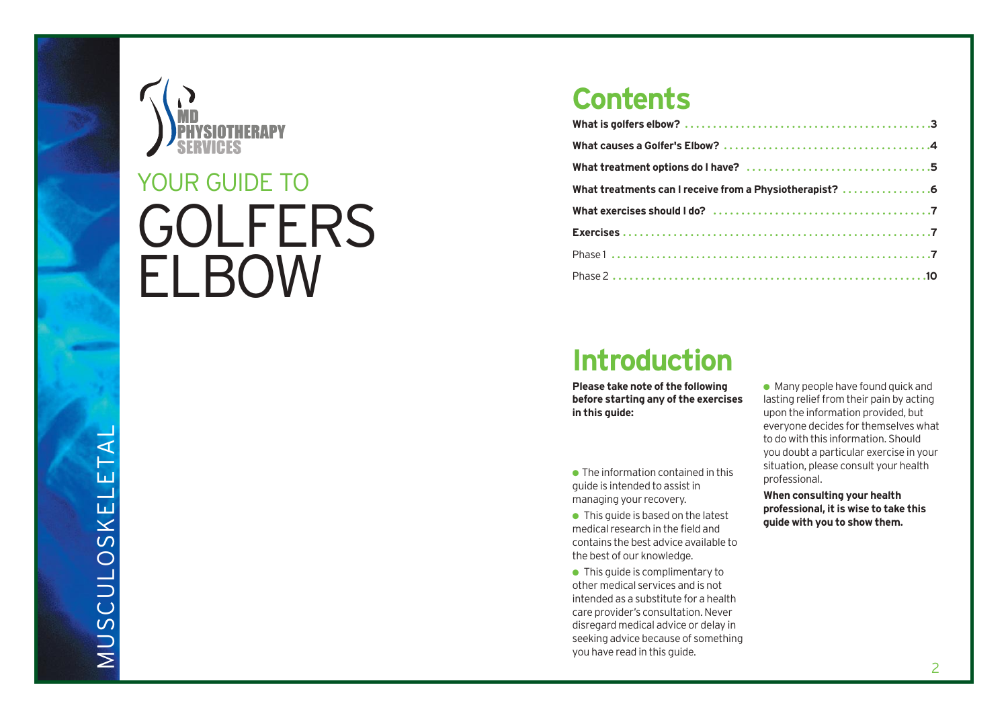

# **GOLFERS** YOUR GUIDE TO<br>**GOLFEF**<br>ELBOW

### **Contents**

| What treatments can I receive from a Physiotherapist? 6 |
|---------------------------------------------------------|
|                                                         |
|                                                         |
|                                                         |
|                                                         |

### **Introduction**

**Please take note of the following before starting any of the exercises in this guide:**

● The information contained in this guide is intended to assist in managing your recovery.

 $\bullet$  This guide is based on the latest medical research in the field and contains the best advice available to the best of our knowledge.

● This guide is complimentary to other medical services and is not intended as a substitute for a health care provider's consultation. Never disregard medical advice or delay in seeking advice because of something you have read in this guide.

 $\bullet$  Many people have found quick and lasting relief from their pain by acting upon the information provided, but everyone decides for themselves what to do with this information. Should you doubt a particular exercise in your situation, please consult your health professional.

**When consulting your health pr o f essional, it is wise to take this guide with you to show them.**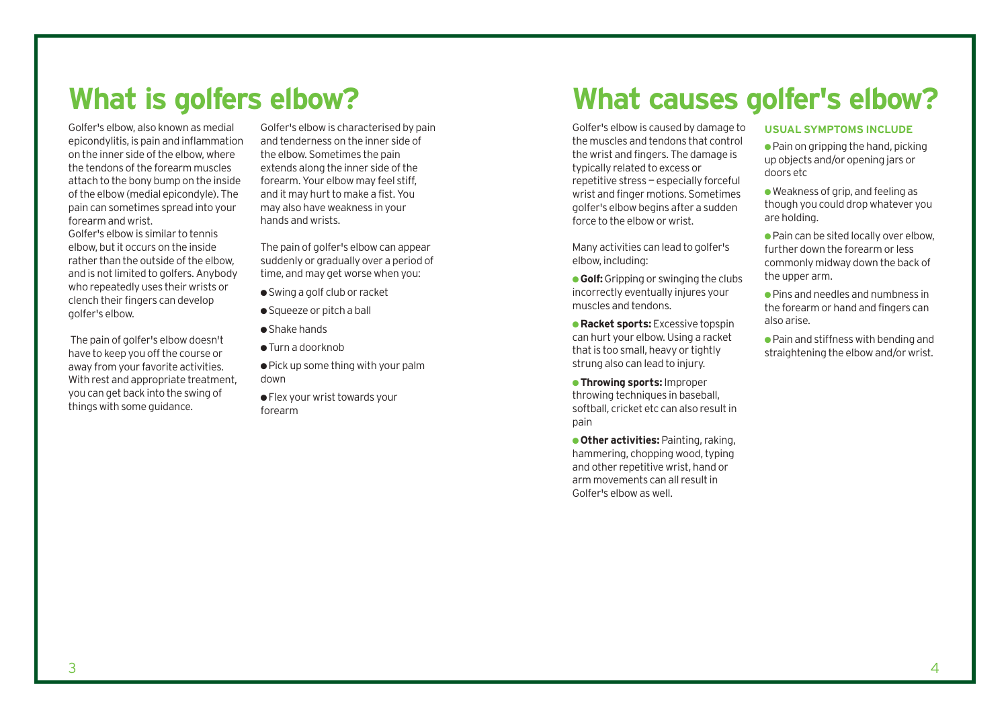### **What is golfers elbow?**

Golfer's elbow, also known as medial epicondylitis, is pain and inflammation on the inner side of the elbow, where the tendons of the forearm muscles attach to the bony bump on the inside of the elbow (medial epicondyle). The pain can sometimes spread into your forearm and wrist. Golfer's elbow is similar to tennis elbow, but it occurs on the inside rather than the outside of the elbow, and is not limited to golfers. Anybody who repeatedly uses their wrists or clench their fingers can develop golfer's elbow.

The pain of golfer's elbow doesn't have to keep you off the course or away from your favorite activities. With rest and appropriate treatment. you can get back into the swing of things with some guidance.

Golfer's elbow is characterised by pain and tenderness on the inner side of the elbow. Sometimes the pain extends along the inner side of the forearm. Your elbow may feel stiff, and it may hurt to make a fist. You may also have weakness in your hands and wrists.

The pain of golfer's elbow can appear suddenly or gradually over a period of time, and may get worse when you:

- Swing a golf club or racket
- Squeeze or pitch a ball
- Shake hands
- $\bullet$  Turn a doorknob

● Pick up some thing with your palm down

● Flex your wrist towards your forearm

### **What causes golfer's elbow?**

Golfer's elbow is caused by damage to the muscles and tendons that control the wrist and fingers. The damage is typically related to excess or repetitive stress — especially forceful wrist and finger motions. Sometimes golfer's elbow begins after a sudden force to the elbow or wrist.

Many activities can lead to golfer's elbow, including:

**• Golf:** Gripping or swinging the clubs incorrectly eventually injures your muscles and tendons.

● **Racket sports:** Excessive topspin can hurt your elbow. Using a racket that is too small, heavy or tightly strung also can lead to injury.

● **Throwing sports:** Improper throwing techniques in baseball, softball, cricket etc can also result in pain

● **Other activities:** Painting, raking, hammering, chopping wood, typing and other repetitive wrist, hand or arm movements can all result in Golfer's elbow as well.

#### **USUAL SYMPTOMS INCLUDE**

 $\bullet$  Pain on gripping the hand, picking up objects and/or opening jars or doors etc

- $\bullet$  Weakness of grip, and feeling as though you could drop whatever you are holding.
- $\bullet$  Pain can be sited locally over elbow. further down the forearm or less commonly midway down the back of the upper arm.
- $\bullet$  Pins and needles and numbness in the forearm or hand and fingers can also arise.
- Pain and stiffness with bending and straightening the elbow and/or wrist.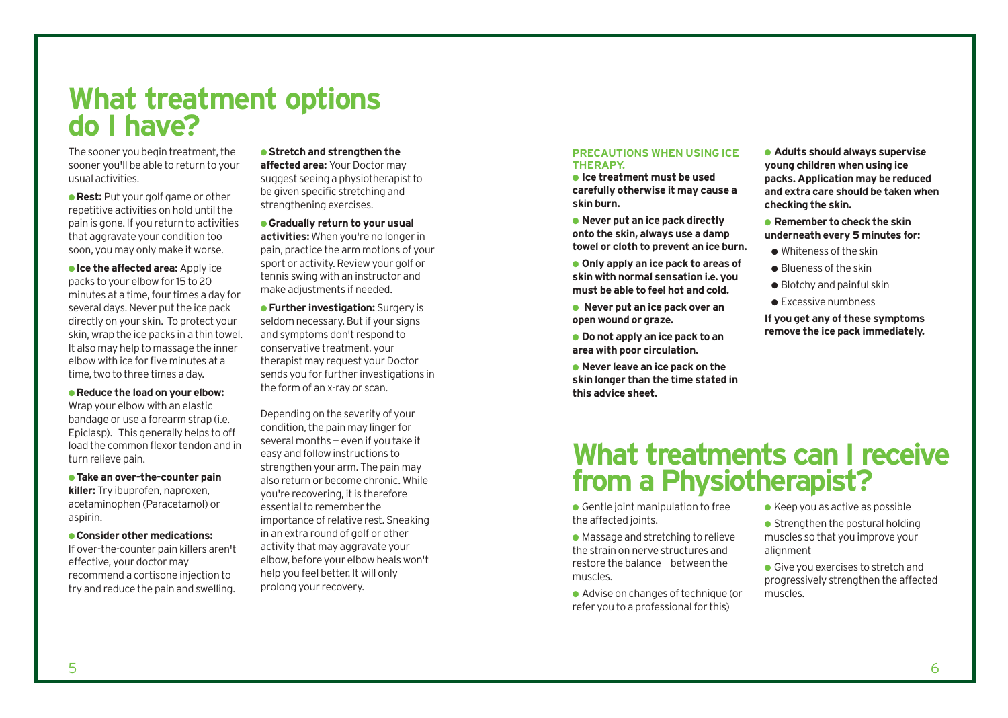### **What treatment options do I have?**

The sooner you begin treatment, the sooner you'll be able to return to your usual activities.

**• Rest:** Put your golf game or other repetitive activities on hold until the pain is gone. If you return to activities that aggravate your condition too soon, you may only make it worse.

**• Ice the affected area:** Apply ice packs to your elbow for 15 to 20 minutes at a time, four times a day for several days. Never put the ice pack directly on your skin. To protect your skin, wrap the ice packs in a thin towel. It also may help to massage the inner elbow with ice for five minutes at a time, two to three times a day.

● **Reduce the load on your elbow:** Wrap your elbow with an elastic bandage or use a forearm strap (i.e. Epiclasp). This generally helps to off load the common flexor tendon and in turn relieve pain.

● **Take an over-the-counter pain killer:** Try ibuprofen, naproxen, acetaminophen (Paracetamol) or aspirin.

● **Consider other medications:**  If over-the-counter pain killers aren't effective, your doctor may recommend a cortisone injection to try and reduce the pain and swelling.

●**Stretch and strengthen the affected area:** Your Doctor may suggest seeing a physiotherapist to be given specific stretching and strengthening exercises.

● **Gradually return to your usual activities:** When you're no longer in pain, practice the arm motions of your sport or activity. Review your golf or tennis swing with an instructor and make adjustments if needed.

● **Further investigation:** Surgery is seldom necessary. But if your signs and symptoms don't respond to conservative treatment, your therapist may request your Doctor sends you for further investigations in the form of an x-ray or scan.

Depending on the severity of your condition, the pain may linger for several months — even if you take it easy and follow instructions to strengthen your arm. The pain may also return or become chronic. While you're recovering, it is therefore essential to remember the importance of relative rest. Sneaking in an extra round of golf or other activity that may aggravate your elbow, before your elbow heals won't help you feel better. It will only prolong your recovery.

#### **PRECAUTIONS WHEN USING ICE THERAPY.**

● **Ice treatment must be used carefully otherwise it may cause a skin burn.**

● **Never put an ice pack directly onto the skin, always use a damp towel or cloth to prevent an ice burn.**

● **Only apply an ice pack to areas of skin with normal sensation i.e. you must be able to feel hot and cold.**

● **Never put an ice pack over an open wound or graze.**

- **Do not apply an ice pack to an area with poor circulation.**
- **Never leave an ice pack on the skin longer than the time stated in this advice sheet.**

● **Adults should always supervise young children when using ice packs. Application may be reduced and extra care should be taken when checking the skin.**

● **Remember to check the skin underneath every 5 minutes for:**

- Whiteness of the skin
- Blueness of the skin
- $\bullet$  Blotchy and painful skin
- Excessive numbness

**If you get any of these symptoms remove the ice pack immediately.**

### **What treatments can I receive from a Physiotherapist?**

 $\bullet$  Gentle joint manipulation to free the affected joints.

● Massage and stretching to relieve the strain on nerve structures and restore the balance between the muscles.

● Advise on changes of technique (or refer you to a professional for this)

- $\bullet$  Keep you as active as possible
- $\bullet$  Strengthen the postural holding muscles so that you improve your alignment

● Give you exercises to stretch and progressively strengthen the affected muscles.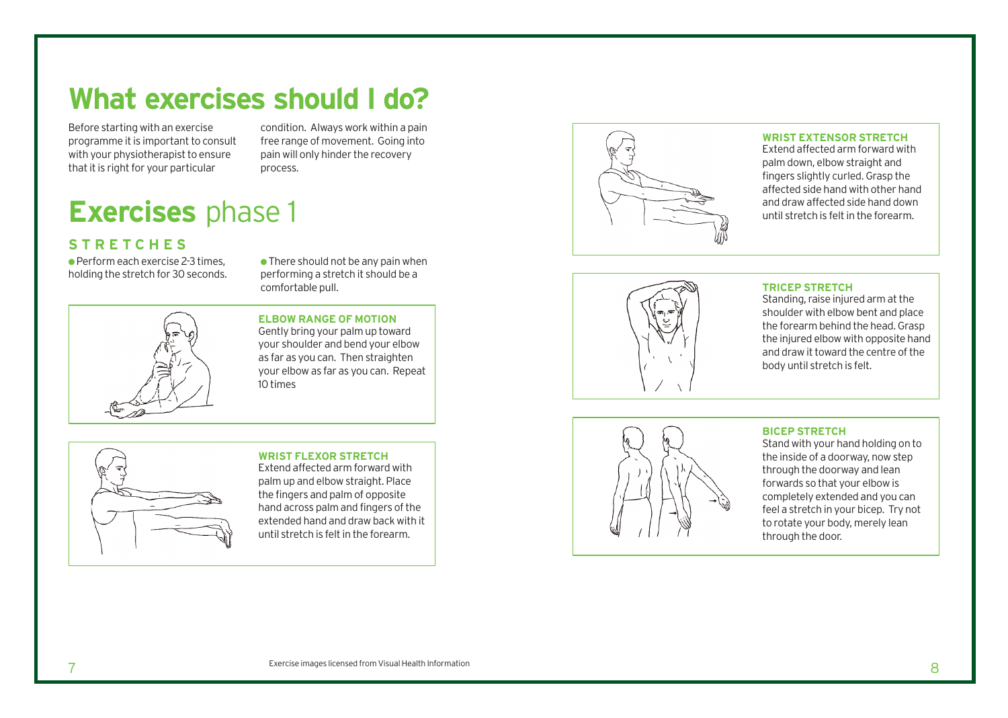## **What exercises should I do?**

Before starting with an exercise programme it is important to consult with your physiotherapist to ensure that it is right for your particular

condition. Always work within a pain free range of movement. Going into pain will only hinder the recovery process.

# **Exercises** phase 1

### **STRETCHES**

 $\bullet$  Perform each exercise 2-3 times. holding the stretch for 30 seconds.

 $\bullet$  There should not be any pain when performing a stretch it should be a comfortable pull.



**ELBOW RANGE OF MOTION** Gently bring your palm up toward your shoulder and bend your elbow as far as you can. Then straighten your elbow as far as you can. Repeat 10 times



#### **WRIST FLEXOR STRETCH**

Extend affected arm forward with palm up and elbow straight. Place the fingers and palm of opposite hand across palm and fingers of the extended hand and draw back with it until stretch is felt in the forearm.



#### **WRIST EXTENSOR STRETCH**

Extend affected arm forward with palm down, elbow straight and fingers slightly curled. Grasp the affected side hand with other hand and draw affected side hand down until stretch is felt in the forearm.



#### **TRICEP STRETCH**

Standing, raise injured arm at the shoulder with elbow bent and place the forearm behind the head. Grasp the injured elbow with opposite hand and draw it toward the centre of the body until stretch is felt.



#### **BICEP STRETCH**

Stand with your hand holding on to the inside of a doorway, now step through the doorway and lean forwards so that your elbow is completely extended and you can feel a stretch in your bicep. Try not to rotate your body, merely lean through the door.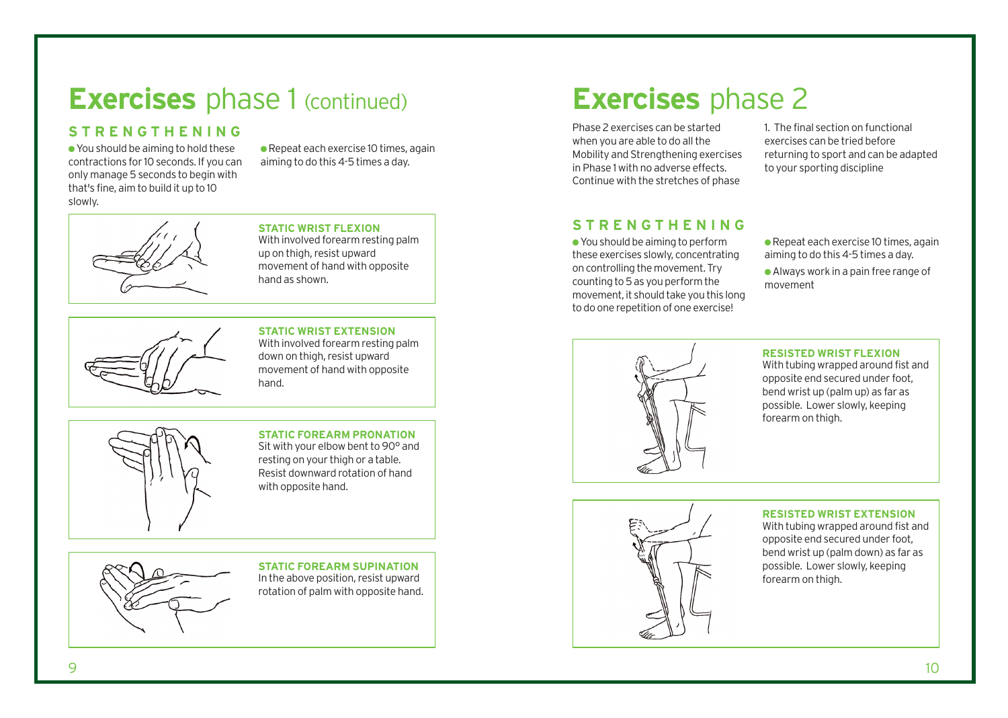### **Exercises** phase 1 (continued) **Exercises** phase 2

### **STRENGTHENING**

●You should be aiming to hold these contractions for 10 seconds. If you can only manage 5 seconds to begin with that's fine, aim to build it up to 10 slowly.

 $\bullet$  Repeat each exercise 10 times, again aiming to do this 4-5 times a day.



With involved forearm resting palm up on thigh, resist upward movement of hand with opposite hand as shown.



#### **STATIC WRIST EXTENSION**

With involved forearm resting palm down on thigh, resist upward movement of hand with opposite hand.



#### **STATIC FOREARM PRONATION**  Sit with your elbow bent to 90° and resting on your thigh or a table. Resist downward rotation of hand with opposite hand.

**STATIC FOREARM SUPINATION**  In the above position, resist upward rotation of palm with opposite hand.

Phase 2 exercises can be started when you are able to do all the Mobility and Strengthening exercises in Phase 1 with no adverse effects. Continue with the stretches of phase

1. The final section on functional exercises can be tried before returning to sport and can be adapted to your sporting discipline

### STATIC WRIST FLEXION **STRENGTHENING**

● You should be aiming to perform these exercises slowly, concentrating on controlling the movement. Try counting to 5 as you perform the movement, it should take you this long to do one repetition of one exercise!

● Repeat each exercise 10 times, again aiming to do this 4-5 times a day.

● Always work in a pain free range of movement



**RESISTED WRIST FLEXION**

With tubing wrapped around fist and opposite end secured under foot, bend wrist up (palm up) as far as possible. Lower slowly, keeping forearm on thigh.



#### **RESISTED WRIST EXTENSION**

With tubing wrapped around fist and opposite end secured under foot, bend wrist up (palm down) as far as possible. Lower slowly, keeping forearm on thigh.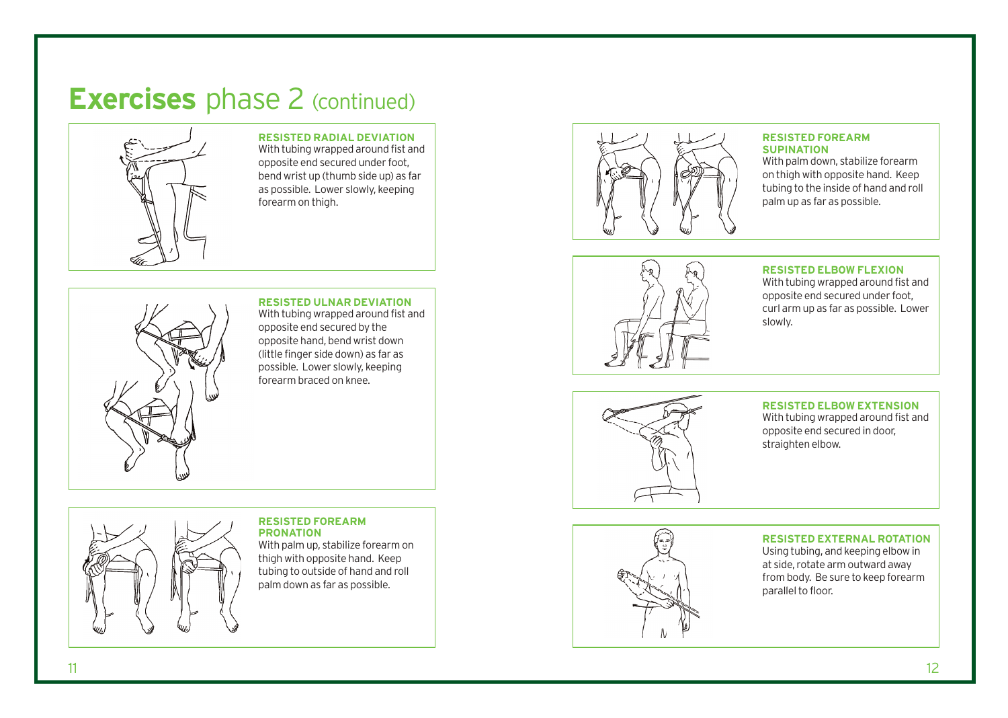## **Exercises** phase 2 (continued)



**RESISTED RADIAL DEVIATION** With tubing wrapped around fist and opposite end secured under foot, bend wrist up (thumb side up) as far as possible. Lower slowly, keeping forearm on thigh.



**RESISTED ULNAR DEVIATION** With tubing wrapped around fist and opposite end secured by the

opposite hand, bend wrist down (little finger side down) as far as possible. Lower slowly, keeping forearm braced on knee.



#### **RESISTED FOREARM SUPINATION**

With palm down, stabilize forearm on thigh with opposite hand. Keep tubing to the inside of hand and roll palm up as far as possible.



**RESISTED ELBOW FLEXION**

With tubing wrapped around fist and opposite end secured under foot, curl arm up as far as possible. Lower slowly.



**RESISTED ELBOW EXTENSION**

With tubing wrapped around fist and opposite end secured in door, straighten elbow.

#### **RESISTED FOREARM PRONATION**

With palm up, stabilize forearm on thigh with opposite hand. Keep tubing to outside of hand and roll palm down as far as possible.



**RESISTED EXTERNAL ROTATION** Using tubing, and keeping elbow in at side, rotate arm outward away from body. Be sure to keep forearm parallel to floor.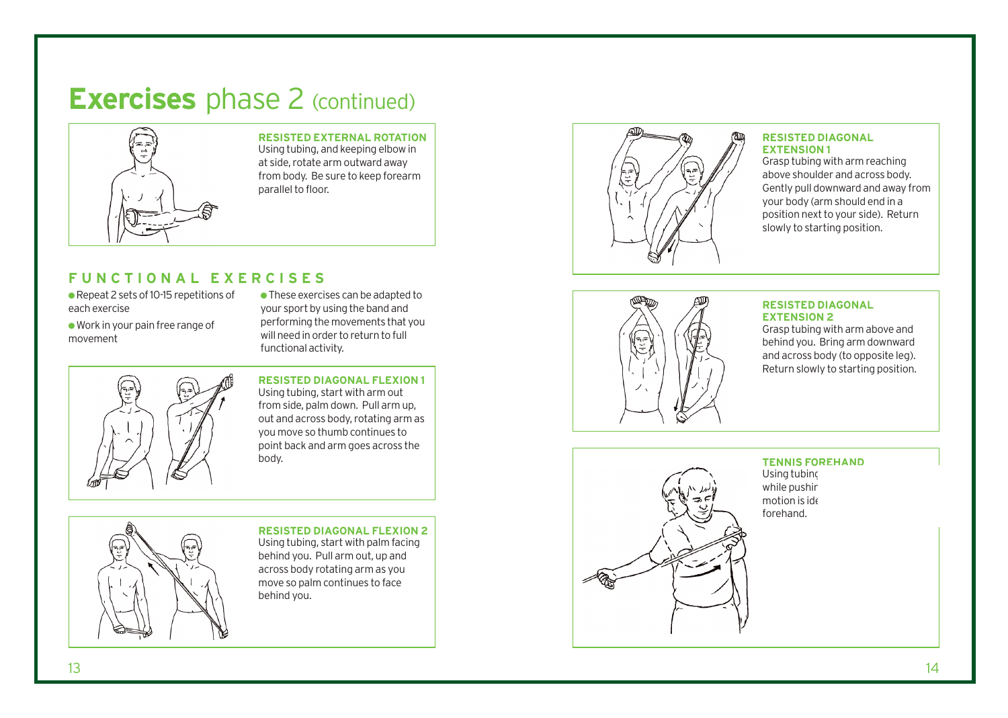## **Exercises** phase 2 (continued)



**RESISTED EXTERNAL ROTATION** Using tubing, and keeping elbow in at side, rotate arm outward away from body. Be sure to keep forearm parallel to floor.

### **FUNCTIONAL EXERCISES**

- Repeat 2 sets of 10-15 repetitions of each exercise
- Work in your pain free range o f movement

 $\bullet$  These exercises can be adapted to your sport by using the band and performing the movements that you will need in order to return to full functional activity.



#### **RESISTED DIAGONAL FLEXION 1** Using tubing, s tart with arm out from side, palm down. Pull arm up, out and across body, rotating arm as you move so thumb continues to point back and arm goes across the body.



**RESISTED DIAGONAL FLEXION 2** Using tubing, s tart with palm facing behind you. Pull arm out, up and across body rotating arm as you move so palm continues to face behind you.



#### **RESISTED DIAGONAL EXTENSION 1**

Grasp tubing with arm reaching above shoulder and across body. Gently pull downward and away from your body (arm should end in a position next to your side). Return slowly to starting position.



#### **RESISTED DIAGONAL EXTENSION 2**

Grasp tubing with arm above and behind you. Bring arm down ward and across body (to opposite leg). Return slowly to starting position.



#### **TENNIS FOREHAND**  Using tubinc

while pushin motion is ide forehand.